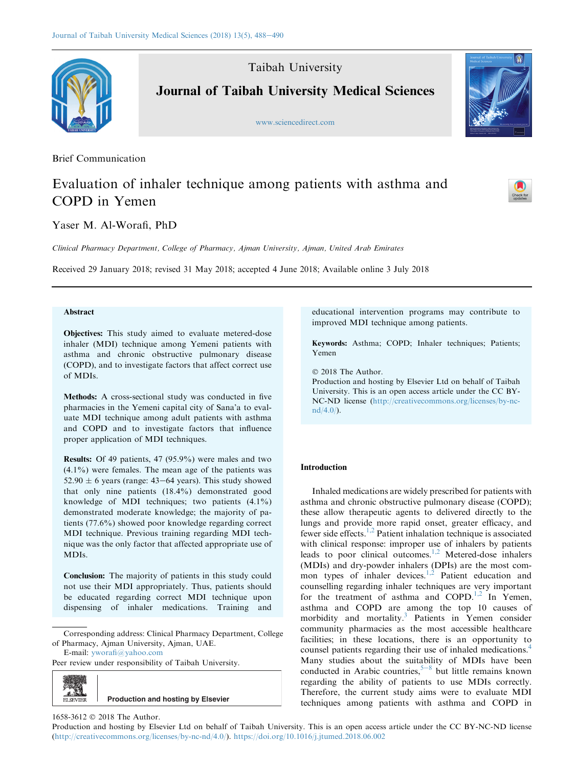Taibah University



Journal of Taibah University Medical Sciences

<www.sciencedirect.com>

Brief Communication

# Evaluation of inhaler technique among patients with asthma and COPD in Yemen

Yaser M. Al-Worafi, PhD

Clinical Pharmacy Department, College of Pharmacy, Ajman University, Ajman, United Arab Emirates

Received 29 January 2018; revised 31 May 2018; accepted 4 June 2018; Available online 3 July 2018

# Abstract

Objectives: This study aimed to evaluate metered-dose inhaler (MDI) technique among Yemeni patients with asthma and chronic obstructive pulmonary disease (COPD), and to investigate factors that affect correct use of MDIs.

Methods: A cross-sectional study was conducted in five pharmacies in the Yemeni capital city of Sana'a to evaluate MDI technique among adult patients with asthma and COPD and to investigate factors that influence proper application of MDI techniques.

Results: Of 49 patients, 47 (95.9%) were males and two (4.1%) were females. The mean age of the patients was 52.90  $\pm$  6 years (range: 43–64 years). This study showed that only nine patients (18.4%) demonstrated good knowledge of MDI techniques; two patients (4.1%) demonstrated moderate knowledge; the majority of patients (77.6%) showed poor knowledge regarding correct MDI technique. Previous training regarding MDI technique was the only factor that affected appropriate use of MDIs.

Conclusion: The majority of patients in this study could not use their MDI appropriately. Thus, patients should be educated regarding correct MDI technique upon dispensing of inhaler medications. Training and

Corresponding address: Clinical Pharmacy Department, College of Pharmacy, Ajman University, Ajman, UAE.

E-mail: [yworafi@yahoo.com](mailto:yworafi@yahoo.com)

Peer review under responsibility of Taibah University.



educational intervention programs may contribute to improved MDI technique among patients.

Keywords: Asthma; COPD; Inhaler techniques; Patients; Yemen

2018 The Author.

Production and hosting by Elsevier Ltd on behalf of Taibah University. This is an open access article under the CC BY-NC-ND license ([http://creativecommons.org/licenses/by-nc](http://creativecommons.org/licenses/by-nc-nd/4.0/) $nd/4.0/$ ).

# Introduction

Inhaled medications are widely prescribed for patients with asthma and chronic obstructive pulmonary disease (COPD); these allow therapeutic agents to delivered directly to the lungs and provide more rapid onset, greater efficacy, and fewer side effects.<sup>[1,2](#page-2-0)</sup> Patient inhalation technique is associated with clinical response: improper use of inhalers by patients leads to poor clinical outcomes[.1,2](#page-2-0) Metered-dose inhalers (MDIs) and dry-powder inhalers (DPIs) are the most common types of inhaler devices. $1,2$  Patient education and counselling regarding inhaler techniques are very important for the treatment of asthma and  $COPD<sup>1,2</sup>$  In Yemen, asthma and COPD are among the top 10 causes of morbidity and mortality[.3](#page-2-0) Patients in Yemen consider community pharmacies as the most accessible healthcare facilities; in these locations, there is an opportunity to counsel patients regarding their use of inhaled medications[.4](#page-2-0) Many studies about the suitability of MDIs have been conducted in Arabic countries,  $5-8$  $5-8$  $5-8$  but little remains known regarding the ability of patients to use MDIs correctly. Therefore, the current study aims were to evaluate MDI techniques among patients with asthma and COPD in





1658-3612 © 2018 The Author.

Production and hosting by Elsevier Ltd on behalf of Taibah University. This is an open access article under the CC BY-NC-ND license (<http://creativecommons.org/licenses/by-nc-nd/4.0/>). <https://doi.org/10.1016/j.jtumed.2018.06.002>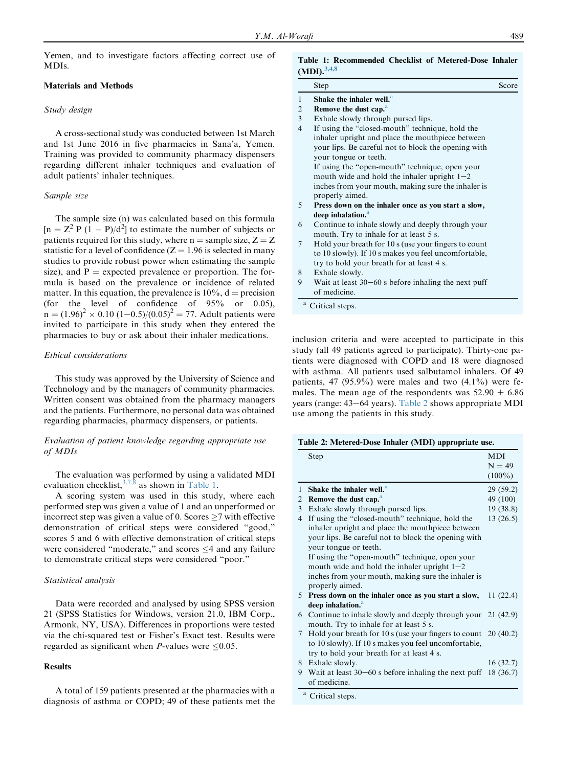Yemen, and to investigate factors affecting correct use of MDIs.

### Materials and Methods

### Study design

A cross-sectional study was conducted between 1st March and 1st June 2016 in five pharmacies in Sana'a, Yemen. Training was provided to community pharmacy dispensers regarding different inhaler techniques and evaluation of adult patients' inhaler techniques.

### Sample size

The sample size (n) was calculated based on this formula  $[n = Z^2 P (1 - P)/d^2]$  to estimate the number of subjects or patients required for this study, where  $n =$  sample size,  $Z = Z$ statistic for a level of confidence  $(Z = 1.96$  is selected in many studies to provide robust power when estimating the sample size), and  $P =$  expected prevalence or proportion. The formula is based on the prevalence or incidence of related matter. In this equation, the prevalence is  $10\%$ , d = precision<br>(for the level of confidence of 95% or 0.05). the level of confidence of  $95\%$  or 0.05),  $n = (1.96)^2 \times 0.10$   $(1-0.5)/(0.05)^2 = 77$ . Adult patients were invited to participate in this study when they entered the pharmacies to buy or ask about their inhaler medications.

# Ethical considerations

This study was approved by the University of Science and Technology and by the managers of community pharmacies. Written consent was obtained from the pharmacy managers and the patients. Furthermore, no personal data was obtained regarding pharmacies, pharmacy dispensers, or patients.

# Evaluation of patient knowledge regarding appropriate use of MDIs

The evaluation was performed by using a validated MDI evaluation checklist,  $3,7,8$  as shown in Table 1.

A scoring system was used in this study, where each performed step was given a value of 1 and an unperformed or incorrect step was given a value of 0. Scores  $\geq$ 7 with effective demonstration of critical steps were considered "good," scores 5 and 6 with effective demonstration of critical steps were considered "moderate," and scores  $\leq$ 4 and any failure to demonstrate critical steps were considered "poor."

### Statistical analysis

Data were recorded and analysed by using SPSS version 21 (SPSS Statistics for Windows, version 21.0, IBM Corp., Armonk, NY, USA). Differences in proportions were tested via the chi-squared test or Fisher's Exact test. Results were regarded as significant when *P*-values were  $\leq 0.05$ .

### **Results**

A total of 159 patients presented at the pharmacies with a diagnosis of asthma or COPD; 49 of these patients met the

# Table 1: Recommended Checklist of Metered-Dose Inhaler

|                | Step                                                 | Score |
|----------------|------------------------------------------------------|-------|
| 1              | Shake the inhaler well. <sup>a</sup>                 |       |
| $\overline{2}$ | Remove the dust cap. <sup>a</sup>                    |       |
| 3              | Exhale slowly through pursed lips.                   |       |
| $\overline{4}$ | If using the "closed-mouth" technique, hold the      |       |
|                | inhaler upright and place the mouthpiece between     |       |
|                | your lips. Be careful not to block the opening with  |       |
|                | your tongue or teeth.                                |       |
|                | If using the "open-mouth" technique, open your       |       |
|                | mouth wide and hold the inhaler upright $1-2$        |       |
|                | inches from your mouth, making sure the inhaler is   |       |
|                | properly aimed.                                      |       |
| 5              | Press down on the inhaler once as you start a slow,  |       |
|                | deep inhalation. <sup>a</sup>                        |       |
| 6              | Continue to inhale slowly and deeply through your    |       |
|                | mouth. Try to inhale for at least 5 s.               |       |
| 7              | Hold your breath for 10 s (use your fingers to count |       |
|                | to 10 slowly). If 10 s makes you feel uncomfortable, |       |
|                | try to hold your breath for at least 4 s.            |       |

- 8 Exhale slowly.
- 9 Wait at least  $30-60$  s before inhaling the next puff of medicine.
- Critical steps.

inclusion criteria and were accepted to participate in this study (all 49 patients agreed to participate). Thirty-one patients were diagnosed with COPD and 18 were diagnosed with asthma. All patients used salbutamol inhalers. Of 49 patients, 47 (95.9%) were males and two  $(4.1\%)$  were females. The mean age of the respondents was  $52.90 \pm 6.86$ years (range:  $43-64$  years). Table 2 shows appropriate MDI use among the patients in this study.

| Table 2: Metered-Dose Inhaler (MDI) appropriate use. |  |  |
|------------------------------------------------------|--|--|
|------------------------------------------------------|--|--|

|              | Step                                                              | <b>MDI</b><br>$N = 49$ |
|--------------|-------------------------------------------------------------------|------------------------|
|              |                                                                   | $(100\%)$              |
| $\mathbf{1}$ | Shake the inhaler well. <sup>a</sup>                              | 29(59.2)               |
| 2            | Remove the dust cap. <sup>a</sup>                                 | 49 (100)               |
| 3            | Exhale slowly through pursed lips.                                | 19(38.8)               |
| 4            | If using the "closed-mouth" technique, hold the                   | 13(26.5)               |
|              | inhaler upright and place the mouthpiece between                  |                        |
|              | your lips. Be careful not to block the opening with               |                        |
|              | your tongue or teeth.                                             |                        |
|              | If using the "open-mouth" technique, open your                    |                        |
|              | mouth wide and hold the inhaler upright $1-2$                     |                        |
|              | inches from your mouth, making sure the inhaler is                |                        |
|              | properly aimed.                                                   |                        |
| 5            | Press down on the inhaler once as you start a slow,               | 11(22.4)               |
|              | deep inhalation. <sup>a</sup>                                     |                        |
|              | 6 Continue to inhale slowly and deeply through your 21 (42.9)     |                        |
|              | mouth. Try to inhale for at least 5 s.                            |                        |
| 7            | Hold your breath for 10 s (use your fingers to count $20(40.2)$ ) |                        |
|              | to 10 slowly). If 10 s makes you feel uncomfortable,              |                        |
|              | try to hold your breath for at least 4 s.                         |                        |
| 8.           | Exhale slowly.                                                    | 16(32.7)               |
| 9            | Wait at least $30-60$ s before inhaling the next puff             | 18(36.7)               |
|              | of medicine.                                                      |                        |
|              | <sup>a</sup> Critical steps.                                      |                        |